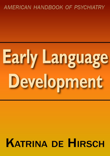## AMERICAN HANDBOOK OF PSYCHIATRY

# **Early Language** Development

# **KATRINA DE HIRSCH**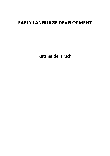### **EARLY LANGUAGE DEVELOPMENT**

**Katrina de Hirsch**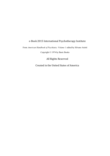#### e-Book 2015 International Psychotherapy Institute

From *American Handbook of Psychiatry: Volume 1* edited by Silvano Arietti

Copyright © 1974 by Basic Books

All Rights Reserved

Created in the United States of America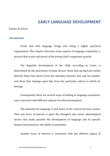#### **EARLY LANGUAGE DEVELOPMENT**

Katrina de Hirsch

#### **Introduction**

Freud said that language brings into being a higher psychical organization. This chapter discusses some aspects of language acquisition, a process that is part and parcel of the young child's organismic growth.

The linguistic development of the child, according to Lewis, is determined by the interaction of many factors: those that spring from within himself, those that derive from the interplay between him and his mother, and those that impinge upon him from the particular culture to which he belongs.

Consequently there are several ways of looking at language acquisition, each concerned with different aspects of verbal development.

The potential for language is laid down in the central nervous system. Thus one focus of interest is upon the biological and neuro- physiological factors that make possible the development of language and its specific human characteristics: the ability to symbolize.

Another focus of interest is concerned with the affective aspect of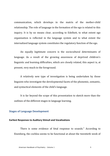communication, which develops in the matrix of the mother-child relationship. The role of language in the formation of the ego is related to this inquiry. It is by no means clear, according to Edelheit, to what extent ego organization is reflected in the language system and to what extent the internalized language system constitutes the regulatory function of the ego.

An equally legitimate concern is the sociocultural determinants of language. As a result of the growing awareness of deprived children's linguistic and learning difficulties, which are closely related, this aspect is, at present, very much in the foreground.

A relatively new type of investigation is being undertaken by those linguists who investigate the developmental facets of the phonemic, semantic, and syntactical elements of the child's language.

It is far beyond the scope of this presentation to sketch more than the outlines of the different stages in language learning.

#### **Stages of Language Development**

#### **Earliest Responses to Auditory Stimuli and Vocalizations**

There is some evidence of fetal response to sounds." According to Eisenberg, the cochlea seems to be functional at about the twentieth week of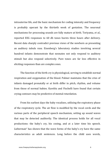intrauterine life, and the basic mechanism for coding intensity and frequency is probably operant by the thirtieth week of gestation. The neuronal mechanisms for processing sounds are fully mature at birth. Toriyama, *et al.*, reported EEG responses to 60 db tones bursts three hours after delivery. Recent data sharply contradict previous views of the newborn as presenting an auditory *tabula rasa*. Eisenberg's laboratory studies involving several hundred infants demonstrate that neonates not only respond to auditory stimuli but also respond selectively. Pure tones are far less effective in eliciting responses than are complex ones.

The function of the birth cry is physiological, serving to establish normal respiration and oxygenation of the blood. Palmer maintains that the cries of infants damaged prenatally or at birth differ in pitch, rhythm, and volume from those of normal babies. Karelitz and Fischelli have found that certain crying contours may be predictive of mental retardation.

From his earliest days the baby vocalizes, utilizing the expiratory phase of the respiratory cycle. The air flow is modified by the vocal cords and the various parts of the peripheral speech mechanism, setting up sound waves that may be detected auditorily. The identical process holds for all vocal productions: the baby's cry, his cooing, and at a later time his speech. Liebermair' has shown that the wave forms of the baby's cry have the same characteristics as adult sentences. Long before the child uses words,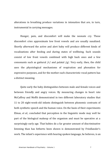alterations in breathing produce variations in intonation that are, in turn, instrumental in carrying messages.

Hunger, pain, and discomfort will make the neonate cry. These discomfort cries approximate low front yowels and are usually nasalized. Shortly afterward the active and alert baby will produce different kinds of vocalizations after feeding and during states of wellbeing. Such sounds consist of low front yowels combined with high back ones and a few consonants such as guttural  $/r/$  and palatal  $/g/$ . Very early, then, the child uses the physiological mechanisms of respiration and phonation for expressive purposes, and for the mother each characteristic vocal pattern has a distinct meaning.

Quite early the baby distinguishes between male and female voices and between friendly and angry voices. By measuring changes in heart rate McCaffrey and Moffit demonstrated in two different laboratory studies that 11 to 20 eight-week-old infants distinguish between phonemic contrasts of both synthetic speech and the human voice. On the basis of their experiments Elmas, *et al.*, concluded that perception in the linguistic mode may well be part of the biological makeup of the organism and must be operative at a surprisingly early age. That babies do a far greater amount of discriminative listening than has hitherto been shown is demonstrated by Friedlander's work. The infant's experience with hearing spoken language, he believes, is an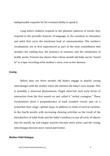indispensable requisite for his eventual ability to speak it.

Long before children respond to the phonetic patterns of words, they respond to the prosodic features of language, to the variation in intonation and pitch that carry the emotional load of communication. The mother's vocalizations are at first experienced as part of the total constellation that includes her smiling face, the presence of caresses, and the satisfaction of bodily needs. Turnure has shown that a three-month-old baby can be "tuned in" to a tape recording of his mother's voice, even in her absence.

#### **Cooing**

Before they are three months old babies engage in playful cooing interchanges with the mother when she imitates the baby's own sounds. This is probably a universal phenomenon. Piaget observed such early forms of interaction from the first month on and called it "verbal contagion." These vocalizations show a preponderance of back rounded vowels and—at a somewhat later stage—glottal stops, in addition to clicks of several varieties. In the fourth month, with increasing chewing activities as the result of the introduction of solid foods and the baby's tendency to put all sorts of objects into his mouth, lip and tongue muscles become more active and the cooing interchanges become more varied and livelier.

#### **Mother-Child Dialogue**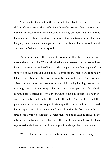The vocalizations that mothers use with their babies are tailored to the child's affective needs. They differ from those she uses in other situations in a number of features: in dynamic accent, in melody and rate, and in a marked tendency to rhythmic iterations. Snow says that children who are learning language have available a sample of speech that is simpler, more redundant, and less confusing than adult speech.

Di Carlo has made the pertinent observation that the mother caresses the child with her voice. Wyatt calls the dialogue between the mother and her baby a process of mutual feedback. The learning of the "mother language," she says, is achieved through unconscious identification. Infants are continually talked to in situations that are essential to their well-being. The vocal and affect communication between mother and child during bathing, feeding, and dressing must of necessity play an important part in the child's communicative attitudes, of which language is but one aspect. The mother's voice is undoubtedly heavily cathected for the baby. The extent to which this phenomenon bears on subsequent listening attitudes has not been explored, but it is quite possible, as maintained by Eveloff, that the first 18 months are crucial for symbolic language development and that serious flaws in the interaction between the baby and the mothering adult would have repercussions in terms of the child's linguistic and cognitive development.

We do know that normal maturational processes are delayed or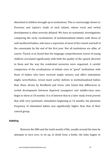disturbed in children brought up in institutions. This is convincingly shown in Provence and Lipton's study of such infants, whose yocal and verbal development is often severely delayed. We have no systematic investigations comparing the early vocalizations of institutionalized infants with those of well-mothered babies, who have a repertoire of most of the vowels and half of the consonants by the end of the first year. Not all institutions are alike, of course. Tizard, *et al*, found that the language comprehension scores of young children correlated significantly with both the quality of the speech directed to them and the way the residential nurseries were organized. A careful comparison of the vocalizations of infants even in "good" institutions with those of babies who have received ample sensory and affect stimulation might, nevertheless, reveal much earlier deficits in institutionalized babies than those shown by Brodbeek and Irwin, who found that differences in verbal development between deprived voungsters and middle-class ones begin to show at 18 months. It is of interest that in a later study Irwin proved that with very systematic stimulation beginning at 14 months, the phoneme frequency of stimulated babies was significantly higher than that of their control group.

#### **Babbling**

Between the fifth and the tenth month of life, usually around the time he attempts to turn over, to sit up, to drink from a bottle, the baby begins to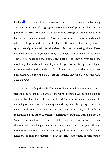babble.<sup>[1]</sup> There is no clear demarcation from expressive sounds to babbling. The various stages of language development overlap. From short cooing phrases the baby proceeds to the use of long strings of sounds that are no longer tied to specific situations. Now the baby lies in his crib, amuses himself with his fingers and toes, and plays with sounds that he produces spontaneously, obviously for the sheer pleasure of making them. These vocalizations are presymbolic. They are playful and probably autoerotic. There is no mistaking the intense gratification the baby derives from the mouthing of sounds and the enjoyment he gets from this repetitive playful experimentation and stimulation. It is thus not surprising that analysts are impressed by the role this particular oral activity plays in early psychosexual development.

During babbling the baby "discovers" how to mold the outgoing breath stream so as to produce a whole repertoire of sounds. At the same time an auditory feedback loop is being established. As sound-producing movements are being repeated over and over again, a strong link is being forged between tactual and kinesthetic impressions, on the one hand, and auditory sensations, on the other. A pattern of alternate hearing and uttering is set up. Sounds—and as time goes on they take on a more and more repetitive character—are no longer random but tend to resemble the phonetic and intonational configurations of the original utterance. One of the main functions of babbling, therefore, is an intensive kinesthetic-proprioceptive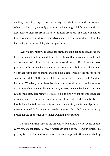auditory learning experience, resulting in primitive sound- movement schemata. The baby not only produces a whole range of different sounds but also derives pleasure from those he himself produces. The self-stimulation the baby engages in during this activity may play an important role in his increasing awareness of linguistic organization.

Every mother knows that she can stimulate long babbling conversations between herself and her child. It has been shown that nonsocial stimuli such as the sound of chimes do not increase vocalizations. Nor does the mere presence of the human being result in more copious babbling. It is the human voice that stimulates babbling, and babbling is reinforced by the presence of a significant adult. Mother and child engage in what Piaget calls "mutual imitation." The baby, stimulated by his mother's vocalizations, produces more of his own. Thus, even at this early stage, a corrective feedback mechanism is established that, according to Wyatt, is a *sine qua non* for smooth language development. Of course this is possible only if the child has learned to store if only for a limited time—and to retrieve the auditory-motor configurations the mother models for him. It is she who monitors the baby's vocalizations by providing the phonemes used in her own linguistic culture.

Normal children vary in the amount of babbling they do; some babble early, some much later. However, intactness of the central nervous system is a prerequisite for the auditory-motor feedback loop that stimulates babbling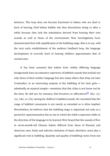behavior. This loop does not become functional in babies who are deaf or hard of hearing. Deaf babies babble, but they discontinue doing so after a while because they lack the stimulation derived from hearing their own sounds as well as those of the environment. New investigations have demonstrated that with amplification at the babbling stage, that is to say, with the very early establishment of the auditory feedback loop, the language development of severely hard of hearing children approximates that of normal ones.

It has been assumed that babies from widely differing language backgrounds have an extensive repertoire of babbled sounds that include not only those of their mother language but also many others that drop out later Cruttenden, in an interesting analysis of the babbling of his twin girls- admittedly an atypical sample—maintains that this claim is not borne out by the facts. He did not, for instance, find fricatives or affricatives<sup>[2]</sup> /th/, /s/, /z/, /sh/, or /ch/ among his children's babbled sounds. He concluded that the range of babbled consonants is not nearly as extended as is often implied. Nevertheless, he believes that the babbling stage is important not only as a period for experimentation but as one in which the child's repertoire shifts in the direction of the language to be learned. Weir found that the sounds of fiveto seven-month-old Chinese babies differed from those of Russian and American ones. Early and selective imitation of input, therefore, must play a significant role in babbling. Quantity and quality of babbling varies from one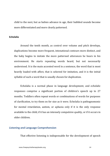child to the next, but as babies advance in age, their babbled sounds become more differentiated and more clearly patterned.

#### **Echolalia**

Around the tenth month, as control over volume and pitch develops, duplications become more frequent, intonational contours more distinct, and the baby begins to imitate the more patterned utterances he hears in his environment. He starts repeating words heard, but not necessarily understood. It is the main accented word in a sentence, the word that is most heavily loaded with affect, that is selected for imitation, and it is the initial syllable of such a word that is usually chosen for duplication.

Echolalia is a normal phase in language development, and echolalic responses comprise a significant portion of children's speech up to 27 months. Toddlers often repeat words or combinations of words for purposes of clarification, to try them on for size as it were. Echolalia is pathognomonic for mental retardation, autism, or aphasia only if it is the only response available to the child, if it has an intensely compulsive quality, or if it occurs in older children.

#### **Listening and Language Comprehension**

That effective listening is indispensable for the development of speech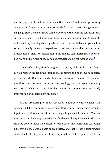and language has been known for some time. Infants' systems for processing acoustic and linguistic input mature much faster than those for generating language. How do babies make some order out of the "buzzing confusion" that surrounds them? Friedlander says they face a monumental task learning to order auditory and linguistic signals into more or less stable categories. In a series of highly ingenious experiments, he has shown that, among other achievements, eight- to fifteen-month-old infants can discriminate between backward and forward speech and between flat and bright intonations.<sup>[3]</sup>

Long before they decode linguistic patterns, children learn to detect certain regularities from the intonational contours and phoneme boundaries of the speech that surrounds them. An enormous amount of learning, therefore, must be going on during the seemingly passive listening done by very small children. This fact has important implications for early intervention and enrichment programs.

Crude processing of input precedes language comprehension. We assume that by a process of selecting, filtering, and transforming acoustic input, small children arrive at the decoding of linguistic information. What are the requisites for comprehension? A fundamental requirement is that the child be able to make a modicum of sense out of the world that surrounds him, that he use some objects appropriately, and that he has a rudimentary sense of self, of being separate. Lewis- says that the child responds first to the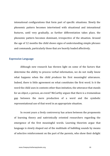intonational configurations that form part of specific situations. Slowly the phonemic pattern becomes intertwined with situational and intonational features, until very gradually, as further differentiation takes place, the phonemic pattern becomes dominant, irrespective of the situation. Around the age of 12 months the child shows signs of understanding simple phrases and commands, particularly those that are heavily loaded affectively.

#### **Expressive Language**

Although new research has thrown light on some of the factors that determine the ability to process verbal information, we do not really know what happens when the child *produces* his first meaningful utterances. Indeed, there is little agreement on what constitutes the first word. Is it the word the child uses in contexts other than imitation, the utterance that stands for an object, a person, an event? McCarthy argues that there is a tremendous gap between the mere production of a word and the symbolic representational use of that word in an appropriate situation.

In recent years a lively controversy has arisen between the proponents of learning theory and nativistically oriented researchers regarding the emergence of the first meaningful words. Learning theorists argue that language is slowly shaped out of the multitude of babbling sounds by means of selective reinforcement on the part of the parents, who show their delight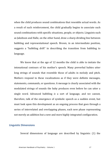when the child produces sound combinations that resemble actual words. As a result of such reinforcement, the child gradually begins to associate such sound combinations with specific situations, people, or objects. Linguists such as Jakobson and Halle, on the other hand, draw a sharp dividing line between babbling and representational speech. Brown, in an intermediate position, suggests a "babbling drift" in describing the transition from babbling to language.

We know that at the age of 12 months the child is able to imitate the intonational contours of his mother's speech. Many preverbal babies utter long strings of sounds that resemble those of adults in melody and pitch. Mothers respond to these vocalizations as if they were definite messages, statements, commands, or questions. A message is clearly associated with the modulated strings of sounds the baby produces even before he can utter a single word. Advanced babbling *is* a sort of language, and we cannot, therefore, talk of the emergence of symbolic speech as a sudden event, but must look upon this development as an ongoing process that goes through a series of interrelated and overlapping phases, each new phase representing not merely an addition but a new and more highly integrated configuration.

#### **Linguistic Dimensions**

Several dimensions of language are described by linguists: (1) the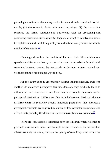phonological refers to elementary verbal forms and their combinations into words;  $(2)$  the semantic deals with word meanings;  $(3)$  the syntactical concerns the formal relations and underlying rules for processing and generating sentences. Developmental linguists attempt to construct a model to explain the child's unfolding ability to understand and produce an infinite number of sentences. $[4]$ 

*Phonology* describes the matrix of features that differentiates one speech sound from another by virtue of certain characteristics. It deals with contrasts between certain features, such as the one between voiced and voiceless sounds, for example,  $/p/$  and  $/b/$ .

For the infant sounds are probably at first indistinguishable from one another. As children's perceptive faculties develop, they gradually learn to differentiate between coarser and finer shades of sounds. Research on the perceptual distinctions children are able to make between birth and the age of three years is relatively recent. Jakobson postulated that successive perceptual contrasts are acquired in a more or less consistent sequence. One of the first is probably the distinction between vowels and consonants.<sup>[5]</sup>

There are considerable variations between children when it comes to production of sounds. Some, for example, acquire fricatives far earlier than others. Not only the timing but also the quality of sound reproduction varies.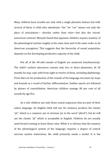Many children have trouble not only with a single phonetic feature but with several of them. A child who substitutes "dar" for "car" misses not only the place of articulation— alveolar rather than velar—but also the voicednonvoiced contrast. Menyuk found that Japanese children acquire mastery of the phonological system roughly at the same time and in the same order as do American youngsters. This suggests that the hierarchy of sound acquisition depends on the developing productive capacity of the child.

Not all of the 40-odd sounds of English are mastered simultaneously. The child's earliest utterances contain only two or three phonemes. At 18 months he may cope with from eight to twelve of them, including diphthongs. From then on his production of the sounds of his language increases by leaps and bounds as a result of further differentiation. Sudden spurts are followed by phases of consolidation. American children manage 80 per cent of all sounds by age five.

As a rule children use only those sound sequences that are part of their native language. An English child will not, for instance, produce the cluster "pf," which is a common one in German (as in the word "pferd"), but he will use the cluster "pl" which is acceptable in English. Children do not usually need formal training to learn these rules. While it is obvious that the mastery of the phonological system of the language requires a degree of central nervous system maturation, the child primarily needs a model. It is the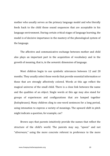mother who usually serves as the primary language model and who literally feeds back to the child those sound sequences that are acceptable in his language environment. During certain critical stages of language learning, the model is of decisive importance in the mastery of the phonological system of the language.

The affective and communicative exchange between mother and child also plays an important part in the acquisition of vocabulary and in the growth of meaning, that is, in the *semantic* dimension of language.

Most children begin to use symbolic utterances between 12 and 20 months. They usually select those words that provide essential information or those that are strongly affectively colored. Words at this age reflect the magical universe of the small child. There is a close link between the name and the qualities of an object. Single words at this age may also stand for groups of experiences and configurations that are lumped together (holophrases). Many children cling to one-word sentences for a long period, using intonation to express a variety of meanings. The upward shift in pitch might indicate a question, for example, car?

Brown says that parents intuitively provide the names that reflect the structure of the child's world. The parents may say, "spoon" and not "silverware," using the more concrete referent in preference to the more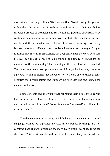abstract one. But they will say "fish" rather than "trout," using the general rather than the more specific referent. Children enlarge their vocabulary through a process of extension and restriction. Its growth is characterized by continuing modification of meaning, involving both the acquisition of new words and the expansion and refinement of word meanings previously learned. Increasing differentiation is reflected in more precise usage. "Doggie" is at first only the child's small, fluffy toy dog; a little later the word describes the real dog the child sees at a neighbor's, and finally it stands for all members of the species "dog." The meaning of the word has been expanded. The opposite process takes place when the child says, for instance, "He write a picture." When he learns that the word "write" refers only to those graphic activities that involve letters and numbers, he has restricted and refined the meaning of the word.

Some concepts and the words that represent them are learned earlier than others. Only 10 per cent of 240 two year olds in Palmer's group' understood the word "around." Concepts such as "backward" are difficult for three vear olds."

The development of meaning, which belongs to the semantic aspect of language, cannot be explained by associative bonds. Meanings are not constant. They change throughout the individual's entire life. At age three the child uses 700 to 800 words, and between three and five years he adds at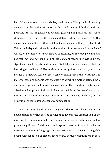least  $50$  new words to his vocabulary each month. The growth of meaning depends on the verbal richness of the child's cultural background and probably on his linguistic endowment (although linguists do not agree, clinicians who work with language-delayed children know that this endowment may differ within social milieus and even within given families). This growth depends primarily on the mother's interest in and knowledge of words, on her ability to clarify shades of meaning, on the easy give and take between her and her child, and on the constant feedback provided by the significant people in his environment. Stodolsky's study indicated that the best single predictor of Negro children's recognition vocabulary was the mother's vocabulary score on the Wechsler Intelligence Scale for Adults. The maternal teaching variable was the extent to which the mother defined tasks and named specific qualities of the environment. Thus the child's cultural and affective milieu play a vital part in fostering delight in the use of words and interest in shades of meanings. Children do need models, above all, for the acquisition of the lexical aspects of communication.

On the other hand, modern linguistic theory postulates that in the development of *syntax*, the set of rules that governs the organization of the more or less limitless number of possible utterances, imitation is not of primary significance. Children do need exposure in order to be able to deduce the underlying rules of language, and linguists admit that the very young child begins with repetition of bits of speech heard. Because of limitations in their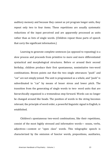auditory memory and because they cannot as yet program longer units, they repeat only two to four items. These repetitions are usually systematic reductions of the input perceived and are apparently processed as units rather than as lists of single words. (Children repeat those parts of speech that carry the significant information.)

Learning to generate complete sentences (as opposed to repeating) is a slow process and proceeds from primitive to more and more differentiated syntactical and morphological structures. Before or around their second birthday, children produce their first spontaneous, nonimitative two-word combinations. Brown points out that the two single utterances "push" and "car" are not simply joined. The unit is programmed as a whole, and "push" is subordinated to "car" by means of lesser stress and lower pitch. The transition from the generating of single words to two- word units that are hierarchically organized is a tremendous step forward. Words can no longer be changed around like beads. The position of words in the string becomes relevant; the principle of word order, a powerful linguistic signal in English, is established.

Children's spontaneous two-word combinations, like their repetitions, consist of the most highly stressed and informative words— nouns, verbs, adjectives—content or "open class" words. This telegraphic speech is characterized by the omission of functor words, prepositions, auxiliaries,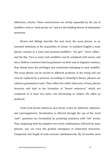inflections, articles. These constructions are slowly expanded by the use of modifiers such as "push pretty car" and are the building blocks of subsequent sentences.

Brown and Bellugi describe the next level, the noun phrase, as an essential milestone in the acquisition of syntax. In standard English a noun phrase consists of a noun and assorted modifiers: "my girl," "more coffee," and the like. Two or more such modifiers can be combined with nouns, and since children construct interim grammars on their way to linguistic mastery, they slowly learn the privileges and constraints belonging to each modifier. The noun phrase can be moved to different positions in the string and can even be replaced by a pronoun. According to Chomsky's theory, phrases are cohesive grammatical units. They reflect the child's discovery of basic phrase structure and lead to the formation of "kernel sentences," which are composed of at least two units: one functioning as subject, the other as predicate.

From such kernel sentences new forms evolve by additions, deletions, and rearrangements. Serialization is effected through the use of the word " and"; questions are formulated by prefacing sentences with "wh" words. Thus, beginning with the simplest two-word combinations, followed by noun phrases, one can trace the gradual emergence of elaborated structures. Complexity and length of units increase simultaneously. By 36 months most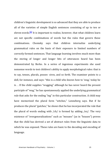<span id="page-24-0"></span>children's linguistic development is so advanced that they are able to produce all of the varieties of simple English sentences consisting of up to ten or eleven words.<sup>[6]</sup> It is important to realize, however, that what children learn are not specific combinations of words but the rules that govern these combinations. Chomsky says that children internalize underlying grammatical rules on the basis of their exposure to limited numbers of correctly formed sentences. That language learning involves much more than the storing of longer and longer bits of utterances heard has been demonstrated by Berko. In a series of ingenious experiments she used nonsense words to test children's ability to apply morphological rules: that is to say, tenses, plurals, posses- sives, and so forth. The examiner points to a doll, for instance, and says: "this is a child who knows how to 'wug,' today he is . . If the child supplies "wugging" although he has never heard the present participle of "wug," he has spontaneously applied the underlying grammatical rule that asks for the ending "ing" in this particular construction. A child may have memorized the plural form "witches," Lenneberg says. But if he produces the plural "gutches," he shows that he has incorporated the rule that the plural of words ending with  $/$ ch $/$  is formed by adding  $/$ ez $/$ . The very existence of "overgeneralizations" such as "mouses" (as in "houses") proves that the child has derived a set of abstract rules from the linguistic data to which he was exposed. These rules are basic to the decoding and encoding of language.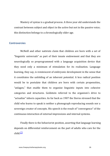Mastery of syntax is a gradual process. A three year old understands the contrast between subject and object in the active but not in the passive voice; this distinction belongs to a chronologically older age.

#### **Controversies**

McNeill and other nativists claim that children are born with a set of "linguistic universals" as part of their innate endowment and that they are neurologically so preprogrammed with a language acquisition device that they need only a minimum of stimulation for its realization. Language learning, they say, is reminiscent of embryonic development in the sense that it constitutes the unfolding of an inherent potential. A less radical position would be to postulate that children are born with certain propensities, "anlagen," that enable them to organize linguistic inputs into cohesive categories and structures. Goldstein referred to the organism's drive to "actualize" inborn capacities. As far back as 1907 the Sterns stressed that the child who learns to speak is neither a phonograph reproducing sounds nor a sovereign creator of concepts. His speech is the result of "convergence" of the continuous interaction of external impressions and internal systems.

Finally there is the behaviorist position, asserting that language learning depends on differential reinforcement on the part of adults who care for the  $child.$ <sup>[7]</sup>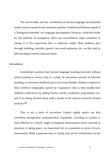The universality and the consistency of normal language development would seem to speak for the nativistic position. Penfield and Roberts speak of a "biological timetable" for language development. However, while this holds for the majority of youngsters, there are, nevertheless, large variations in timing. It is the *sequencing* that is relatively stable. Most children pass through babbling, echolalic speech, two-word sentences, etc., on the road to fully dev[elop](#page-42-1)ed verbal communication.

#### **Stimulation**

Lenneberg's position that normal language learning proceeds without actual training is correct only to a point. An enormous amount of informal teaching, or corrective feedback, goes on in most families. Mothers respond to their children's telegraphic speech by "expansion"; that is, they modify their children's utterances by adding functor words, auxiliaries, prepositions, etc., and in so doing, present them with a model of the nearest correctly formed sentence<sup>[8]</sup>

This is not a form of correction. Cazden rightly points out that correction extinguishes communication. Expansion, according to Cazden, is most effective at "critical" stages of linguistic development when a growth in structure is taking place—an important fact to remember in terms of early intervention. What expansion does is clarify and enrich verbalization at the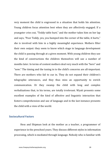very moment the child is engrossed in a situation that holds his attention. Young children focus attention best when they are affectively engaged. If a youngster cries out, "Teddy table hurt," and the mother takes him on her lap and says, "Poor Teddy, yes, you bumped into the corner of the table, it hurts," she is involved with him in a highly meaningful experience. Mothers filter their own output: they seem to know which stage in language development the child is passing through at a given moment. With young children they use the kind of constructions the children themselves will use a number of months later. In terms of content mothers deal very much with the "here" and "now." The timing and the tuning in to the child's concerns are all-important. There are mothers who fail to cue in. They do not expand their children's telegraphic utterances, and they thus miss an opportunity to enrich communication. Or they swamp the child with long and complex verbalizations that, in his terms, are totally irrelevant. Wyatt presents some excellent examples of the kind of affective and linguistic interaction that fosters comprehension and use of language and in the last instance presents the child with a view of the world.

#### **Sociocultural Factors**

Hess and Shipman look at the mother as a teacher, a programmer of experience in the preschool years. They discuss different styles in information processing, which is mediated through language. Nobody who is familiar with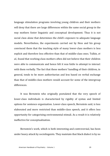language stimulation programs involving young children and their mothers will deny that there are large differences within the same social group in the way mothers foster linguistic and conceptual development. Thus it is not social class alone that determines the child's exposure to adequate language models. Nevertheless, the experiments carried out by Hess and his group convinced them that the teaching style of many lower-class mothers is less explicit and therefore less effective than that of middle-class ones. Tulkin, et *al.*, found that working-class mothers often did not believe that their children were able to communicate and hence felt it was futile to attempt to interact with them verbally. The fact that these mothers' handling of their children, in general, tends to be more authoritarian and less based on verbal exchange than that of middle-class mothers would account for some of the intergroup differences.

It was Bernstein who originally postulated that the very speech of lower-class individuals is characterized by rigidity of syntax and limited options for sentence organization. Lower-class speech, Bernstein said, is less elaborated and more restricted than middle-class speech, and it offers less opportunity for categorizing environmental stimuli. As a result it is relatively ineffective for conceptualization.

Bernstein's work, which is both interesting and controversial, has been under heavy attack by sociolinguists. They maintain that black dialect is by no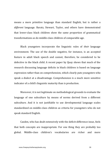means a more primitive language than standard English, but is rather a different language. Baratz, Stewart, Taylor, and others have demonstrated that lower-class black children show the same proportion of grammatical transformations as do middle-class children of comparable age.

Black youngsters incorporate the linguistic rules of *their* language environment. The use of the double negative, for instance, is an accepted feature in adult black speech and cannot, therefore, be considered to be defective in the black child. A recent paper by Ouay shows that much of the research discussing language deficits in black children is based on language expression rather than on comprehension, which clearly puts youngsters who speak a dialect at a disadvantage. Comprehension is a much more sensitive indicator of a child's linguistic maturity than is production.

Moreover, it is not legitimate on methodological grounds to evaluate the language of one subculture by means of norms derived from a different subculture. And it is not justifiable to use developmental language scales standardized on middle-class children as criteria for youngsters who do not speak standard English.

Cazden, who has dealt extensively with the deficit-difference issue, feels that both concepts are inappropriate. For one thing they are probably too global. Middle-class children's vocabularies are richer and more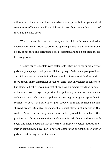differentiated than those of lower-class black voungsters, but the grammatical competence of lower-class black children is probably comparable to that of their middle-class peers.

What counts in the last analysis is children's communicative effectiveness. Thus Cazden stresses the speaking situation and the children's ability to perceive and categorize a social situation and to adjust their speech to its requirements.

The literature is replete with statements referring to the superiority of girls' early language development. McCarthy' says: "Whenever groups of boys and girls are well matched in intelligence and socio-economic background  $\dots$ there appear slight differences in favor of girls." Not only length of sentences, but almost all other measures that show developmental trends with age articulation, word usage, complexity of output, and grammatical competence —demonstrate slightly more rapid maturation in girls. Kagan's report that, in contrast to boys, vocalizations of girls between four and fourteen months showed greater stability, independent of social class, is of interest in this context. Scores on an early vocalization index proved to be a far better predictor of subsequent cognitive development in girls than was the case with boys. One might speculate that the earlier neurophysiological maturation of girls as compared to boys is an important factor in the linguistic superiority of girls, at least during the earlier vears.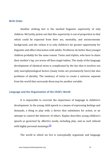#### **Birth Order**

Another striking fact is the marked linguistic superiority of only children. McCarthy points out that this superiority is out of proportion to that which could be expected from their sex, mentality, and socioeconomic background, and she relates it to only children's far greater opportunity for linguistic and affect interaction with adults. Firstborns do better than younger children probably for the same reason. Twins and triplets, who have to share their mother's lap, are worse off then single babies. The study of the language development of identical twins is complicated by the fact that it involves not only neurophysiological factors (many twins are prematurely born) but also problems of i[den](#page-42-2)tity. The tendency of twins to create a universe separate from the world that surrounds them may be another variable.

#### Language and the Organization of the Child's World

<span id="page-31-0"></span>It is impossible to overrate the importance of language in children's development. In the young child speech is a means of expressing feelings and demands, a thing to play with, a device that substitutes for action, or an attempt to control the behavior of others. Kaplan describes young children's speech as governed by affective needs, including play, and as such infused with highly personal meanings.<sup>[9]</sup>

The world in which we live is conceptually organized, and language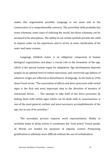makes this organization possible. Language is our main tool in the construction of a comprehensible universe. The preverbal child probably has some schemata, some ways of ordering the world, but these schemata can be assumed to be amorphous. The ability to use verbal symbols permits the child to impose order on his experience and to arrive at some clarification of his outer and inner cosmos.

Language, Edelheit states, is an obligatory component of human biological organization and plays a crucial role in the formation of the ego, which is the special human organ for adaptation. Ego development depends largely on an optimal level of verbal expression, and conversely ego defects of whatever origin are reflected in disturbances of language. As far back as 1936, Anna Freud wrote: "The association of affects and drive processes with verbal signs is the first and most important step in the direction of mastery of instinctual drives.  $\ldots$  The attempt to take hold of the drive processes by linking them with verbal signs which can be dealt with in consciousness is one of the most general, earliest and most necessary accomplishments of the ego, not as one of its activities."

The secondary process requires word representation. Ability to verbalize helps to delay action; it constitutes the "trial action" Freud speaks of. Words are needed for purposes of impulse control. Postponing gratification is infinitely more difficult without the use of verbalization.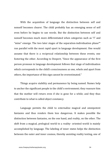With the acquisition of language the distinction between self and nonself becomes clearer. The child probably has an emerging sense of self even before he begins to use words. But the distinction between self and nonself becomes much more differentiated when categories such as "I" and "mine" emerge. The two later stages of the separation-individuation phase $M$ run parallel with the most rapid spurt in language development. One would assume that there is a reciprocal relationship between these events, one fostering the other. According to Despert, "Since the appearance of the first person pronoun in language development follows that stage of individuation which corresponds to the child's consciousness as one, whole and apart from others, the importance of this sign cannot be overestimated."

Things acquire stability and permanence by being named. Names help to anchor the significant people in the child's environment; they reassure him that the mother will return even if she is gone for a while; and they thus contribute to what is called object constancy.

Language permits the child to externalize magical and omnipotent fantasies and thus renders them less dangerous. It makes possible the distinction between fantasies, on the one hand, and reality, on the other. The shift from a magical, prelogical world to a reality- oriented world is mainly accomplished by language. The labeling of inner states helps the distinction between the outer and inner cosmos, thereby assisting reality testing, one of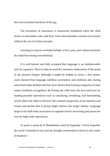the most essential functions of the ego.

The formation of conscience is immensely facilitated when the child learns to internalize rules and laws. Such internalization remains precarious without the use of verbal concepts.

Learning to express verbally feelings of fear, pain, and sadness protects the child from being overwhelmed.

It is well known and fully accepted that language is an indispensable tool for cognition. There is thus no need for extensive elaboration of this point in the present chapter although it might be helpful to stress a few points. Luria showed that language stabilizes perception and mediates also during nonverbal tasks. Kimbal and Dale have shown that forming categories of color names facilitates recognition. By freeing the child from the here and now, by making possible operations such as classifying, serializing, and formulating, words allow the child to discover the common properties of perceptions and events and permit him to group single entities into larger wholes. Language helps in the shift from associative to cognitive levels of learning and paves the way for high order operations.

To quote a poem by O. Mandelstam cited by Vygotsky: "I have forgotten the word I intended to say and my thought unembodied returns to the realm of shadows."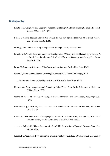#### **Bibliography**

- Baratz, I. C., "Language and Cognitive Assessment of Negro Children: Assumptions and Research Needs," ASHA, 11:87, 1969-
- Bench, J., "Sound Transmission to the Human Foetus through the Maternal Abdominal Wall," *J.* Gen. Psychol., 113:85, 1968.
- Berko, J., "The Child's Learning of English Morphology," *Word*, 14:150, 1958.
- Bernstein, B., "Social Class and Linguistic Development: A Theory of Social Learning," in Halsey, A. J., Floud, H., and Anderson, C. A. (Eds.), *Education, Economy and Society*, Free Press, New York, 1961.

Berry, M., *Language Disorders of Children*, Appleton-Century-Crofts, New York, 1969.

Bloom, L., *Form and Function in Emerging Grammars*, M.I.T. Press, Cambridge, 1970.

\_\_\_\_\_, *Readings in Language Development,* Simon & Schuster, New York, 1970.

- Blumenthal, A. L., *Language and Psychology*, John Wiley, New York. Reference to Carla and William Stern, 1907.
- Braine, M. D. S., "The Ontogeny of English Phrase Structure: The First Phase," *Language*, 39:1, 1963.
- Brodbeck, A. J., and Irwin, O. C., "The Speech Behavior of Infants without Families," *Child Dev.*, 17.145, 1946.
- Brown, R., "The Acquisition of Language," in Riach, D., and Weinstein, E. A. (Eds.), *Disorders of Communication, Res. Puhl. Ass. Nerv. Ment. Dis.,* 42:56, 1964.

and Bellugi, U., "Three Processes in the Child's Acquisition of Syntax," *Harvard Educ. Rev.*, 34:133, 1964.

Carroll, J. B., "Language Development in Children," in Saporta, S. (Ed.), *Psycholinguistics: A Book of*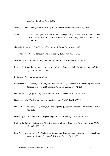*Readings,* Holt, New York, 1961.

Cazden, C., *Child Language and Education*, Holt, Rinehart & Winston, New York, 1972.

Cazden, C. B., "Three Sociolinguistie Views of the Language and Speech of Lower- Class Children —With Special Attention to the Work of Basil Bernstein," *Dev. Med. Child Neurol., 10:600,* 1968.

Chomsky, N., *Aspects of the Theory of Syntax*, M.I.T. Press, Cambridge, 1965.

\_\_\_\_\_, "Review of 'Verbal Behavior' by B. F. Skinner," *Language,* 35:26, 1959.

Cruttenden, A., "A Phonetic Study of Babbling," *Brit. J. Disord. Comm.*, 5.110, 1970.

- Despert, L., Discussion of "Irrelevant and Metaphorical Language in Early Infantile Autism," *Am.* ]. *Psychiat., 103:242,* 1946.
- Di Carlo, S., Personal Communication.
- Dwornicka, B., Jasienska, J., Smolary, W., and Wawryk, R., "Attempt of Determining the Foetal Reaction to Acoustic Stimulation," *Acta Otolaryng.*, 57:571, 1964.

Edelheit, H., "Language and Ego Development," *J. Am. Psychoanal. A.*, 16:13, 1968.

Eisenberg, R. B., "The Development of Hearing in Man," *ASHA*, 12:119, 1970.

Elmas, P. D., Siqueland, E. R., Jusczyk, P., and Vigorito, J., "Speech Perception in Infants," *Science*, 303-306.

Ervin-Tripp, S., and Slobin, D. I., "Psycholinguistics," *Ann. Rev. Psychol*, 17: 435, 1966.

- Eveloff, H., "Some Cognitive and Affective Aspects of Early Language Development," *Child Dev.*, 43.1895-1905, 1971.
- Fay, W. H., and Butler, B. V., "Echolalia, IQ, and the Developmental Dichotomy of Speech and Language Systems," *J. Speech & Hearing Res.,* 11:365, 1968.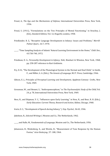- Freud, A., *The Ego and the Mechanisms of Defense*, International Universities Press, New York, 1936.
- Freud, S. (1911), "Formulations on the Two Principles of Mental Functioning," in Strachey, J. (Ed.), *Standard Edition*, Vol. 12, Hogarth, London, 1958.
- Friedlander, B. Z., "Receptive Language Development in Infancy: Issues and Problems," *Merrill-Palmer Quart.,* 16:7, 1970.
- \_\_\_\_\_, "Time Sampling Analysis of Infants' Natural Learning Environment in the Home," *Child Dev.,* 43:730-740, 1972.
- Friedman, D. G., *Personality Development in Infancy*, Holt, Rinehart & Winston, New York, 1968, pp. 258-287 reference to Kurt Goldstein.
- Fry, D. B., "The Development of the Phonological System in the Normal and Deaf Child," in Smith, F., and Miller, G. A. (Eds.), *The Genesis of Language*, M.I.T. Press, Cambridge, 1966.
- Gibson, E. J., *Principles of Perceptual Learning and Development*, Appleton-Century- Crofts, New York, 1969.
- Grossman, W., and Bennet, S., "Anthropomorphism," in *The Psychoanalytic Study of the Child*, Vol. 24, p. 78, International Universities Press, New York, 1969.
- Hess, R., and Shipman, V. C., "Influences upon Early Learning," in Hess, R., and Bear, R. H. (Eds.), *Early Education: Current Theory, Research and Action, Aldine, Chicago, 1968.*

Irwin, O. C., "Development of Speech during Infancy," *J. Exp. Psychol.*, 36:43, 1946.

Jakobson, R., *Selected Writings I*, Mouton and Co., The Netherlands, 1962.

\_\_\_\_\_, and Halle, M., *Fundamentals of Language,* Mouton and Co., The Netherlands, 1956.

Johansson, B., Wedenberg, E., and Westin, B., "Measurement of Tone Response by the Human Foetus," *Acta Otolaryng.,* 57: 188, 1964.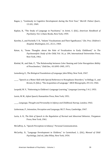- Kagan, J., "Continuity in Cognitive Development during the First Year," Merrill- Palmer Quart., 15.101, 1969.
- Kaplan, B., "The Study of Language in Psychiatry," in Arieti, S. (Ed.), *American Handbook of* Psychiatry, Vol. 3, Basic Books, New York, 1959.
- Karelitz, S., and Fischelli, V. R., "Infants' Vocalizations and Their Significance," *Clin. Proc. Children's Hospital, Washington, D.C., 25.11, 1969.*
- Katan, A., "Some Thoughts about the Role of Vocalization in Early Childhood," in The Psychoanalytic Study of the Child, Vol. 16, p. 184, International Universities Press, New York, 1961.
- Kimbal, M., and Dale, P., "The Relationship between Color Naming and Color Recognition Ability of Preschoolers," Child Dev., 43:1895-1905, 1971.

Lenneberg, E., *The Biological Foundations of Language*, John Wiley, New York, 1967.

\_\_\_\_\_, "Speech as a Motor Skill with Special Reference to Nonaphasic Disorders," in Bellugi, U., and Brown, R. (Eds.), "The Acquisition of Language," *SRCD Monographs*, 29:115, 1964.

Leopold, W. F., "Patterning in Children's Language Learning," *Language Learning*, 5 4:1, 1953.

Lewis, M. M., *Infant Speech*, Humanities Press, New York, 1951.

\_\_\_\_\_, *Language, Thought and Personality in Infancy and Childhood,* Harrap, London, 1963.

Lieberman, P., *Intonation, Perception and Language*, M.I.T. Press, Cambridge, 1967.

Luria, A. R., *The Role of Speech in the Regulation of Normal and Abnormal Behavior*, Pergamon Press, New York, 1961.

McCaffrey, A., "Speech Perception in Infancy," Personal Communication.

McCarthy, D., "Language Development in Children," in Carmichael, L. (Ed.), *Manual of Child* Psychology, 2nd ed., John Wiley, New York, 1954.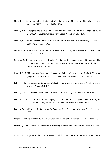- McNeill, D., "Developmental Psycholinguistics," in Smith, F., and Miller, G. A. (Eds.), *The Genesis of* Language, M.I.T. Press, Cambridge, 1966.
- Mahler, M. S., "Thoughts about Development and Individuation," in *The Psychoanalytic Study of the Child, Vol.* 18, International Universities Press, New York, 1963.
- Menyuk, P., "The Role of Distinctive Features in Children's Acquisition of Phonology," *J. Speech & Hearing Res.,* 11.138, 1968.
- Moffitt, A. R., "Consonant Cue Perception by Twenty- to Twenty-Four-Week-Old Infants," *Child Dev.,* 42:717, 1971.
- Nakzima, S., Okamoto, N., Murai, J., Tanaka, M., Okuno, S., Maeda, T., and Shimizu, M., "The Phoneme Systematization and the Verbalization Process of Voices in Childhood." *Shinrigan-Hyoron,* 6*:*1, 1962.
- Osgood, C. E., "Motivational Dynamics of Language Behavior," in Jones, M. R. (Ed.), *Nebraska Symposium on Motivation:* 1957, University of Nebraska Press, Lincoln, 1957.
- Palmer, F. H., "Socioeconomic Status and Intellective Performance among Negro Preschool Boys," *Develop. Psychol.,* 3:1, 1970.
- Palmer, M. F., "The Speech Development of Normal Children," *J. Speech Disord.*, 5:185, 1940.
- Peller, L. E., "Freud's Contribution to Language Development," in *The Psychoanalytic Study of the Child, Vol.* 21, p. 448, International Universities Press, New York, 1966.
- Penfield, W., and Roberts, L., *Speech and Brain Mechanisms,* Princeton University Press, Princeton, 1959.
- Piaget, J., *The Origins of Intelligence in Children*, International Universities Press, New York, 1952.
- Provence, S., and Lipton, R., *Infants in Institutions*, International Universities Press, New York, 1962.
- Quay, L. C., "Language Dialect, Reinforcement and the Intelligence-Test Performance of Negro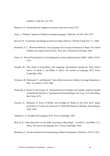Children," *Child Dev., 42:* 1971.

Skinner, B. F., *Verbal Behavior*, Appleton-Century-Crofts, New York, 1957.

Snow, C., "Mothers' Speech to Children Learning Language," *Child Dev.*, 43:549- 565, 1972.

- Stewart, W., "Continuity and Change in American Negro Dialects," *Florida FL Reporter*, 7.1, 1968.
- Stodolsky, S. S., "Maternal Behavior and Language and Concept Formation in Negro Pre-school Children: An Inquiry into Process," Ph.D. diss., University of Chicago, 1965.
- Taylor, O., "Recent Developments in Sociolinguistics: Some Implications for ASHA," *ASHA*, 13:341, 1971.
- Templin, M., "The Study of Articulation and Language Development during the Early School Years," in Smith, F., and Miller, G. (Eds.), *The Genesis of Language*, M.I.T. Press, Cambridge, 1966.
- Toriyama, M., Matsuzaki, T., and Hayashi, "Some Observations on Auditory Average Response in Man," *Int. Audiol.*, 5:234, 1966.
- Torkewitz, G., Birch, H., and Cooper, K., "Responsiveness to Simple and Complex Auditory Stimuli in the Human Newborn," *Developmental Psychobiology*, Vol. 5, pp. 7-19, John Wiley, New York, 1972.
- Turnure, O., "Response to Voice of Mother and Stranger by Babies in the First Year," paper presented at Society for Research in Child Development Meeting, Santa Monica, Calif., 1969.
- Vygotsky, L. S., Thought and Language, M.I.T. Press, Cambridge, 1962.
- Weir, R. H., "Some Questions on the Child's Learning of Phonology," in Smith, F., and Miller, G. A. (Eds.), *The Genesis of Language*, M.I.T. Press, Cambridge, 1966.

Weisberg, P., "Social and Nonsocial Conditioning of Infant Vocalization," *Child Dev.*, 34:377, 1931.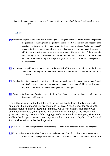<span id="page-41-0"></span>Wyatt, G. L., *Language Learning and Communication Disorders in Children, Free Press*, New York, 1969.

#### *Notes*

- [1] Cruttenden objects to the definition of babbling as the stage in which children utter sounds just for the pleasure of making them. He prefers a more objective definition and suggests that babbling be defined as the stage when the baby first produces "pulmonic-lingual" consonants, for example, dental and velar plosives, alveolar and palatal nasals, in addition to a growing variety of vowel-like sounds. The production of these sounds would imply "a new awareness" on the part of the child of how to combine tongue movements with breathing. This stage, he says, more or less ends with the emergence of the first words.
- [2] In contrast, Leopold asserts that in the case he studied, affricatives occurred very early during cooing and babbling but quite late—in the last third of the second year—in imitation of real words.
- <span id="page-41-1"></span>[\[3\]](#page-24-0) Friedlander's tape recordings of the children's "natural home language environment" and specifically of the language interaction between parents and children could provide important clues in terms of verbal competence at later ages.
- [4] *Readings in Language Development*, edited by Lois Bloom, is an excellent introduction to developmental linguistics.

The author is aware of the limitations of the section that follows; it only attempts to summarize the groundbreaking work done in this area. Not only does the scope of the chapter exclude a more penetrating summary, but also the original manuscript was submitted nearly two years ago and thus does not refer to much of the recent work. (The new book by Cazden, *Child Language and Education*, is an example.) The author realizes that her presentation is not only incomplete but also probably biased in favor of the transformational school of linguistics.

[5] Not discussed in this chapter is the "motor theory" of perception proposed by the Haskins group.

[6] Bloom feels that what is called "transformational grammar" describes only the most formal aspects of children's language development. Her own sophisticated formulations show that a